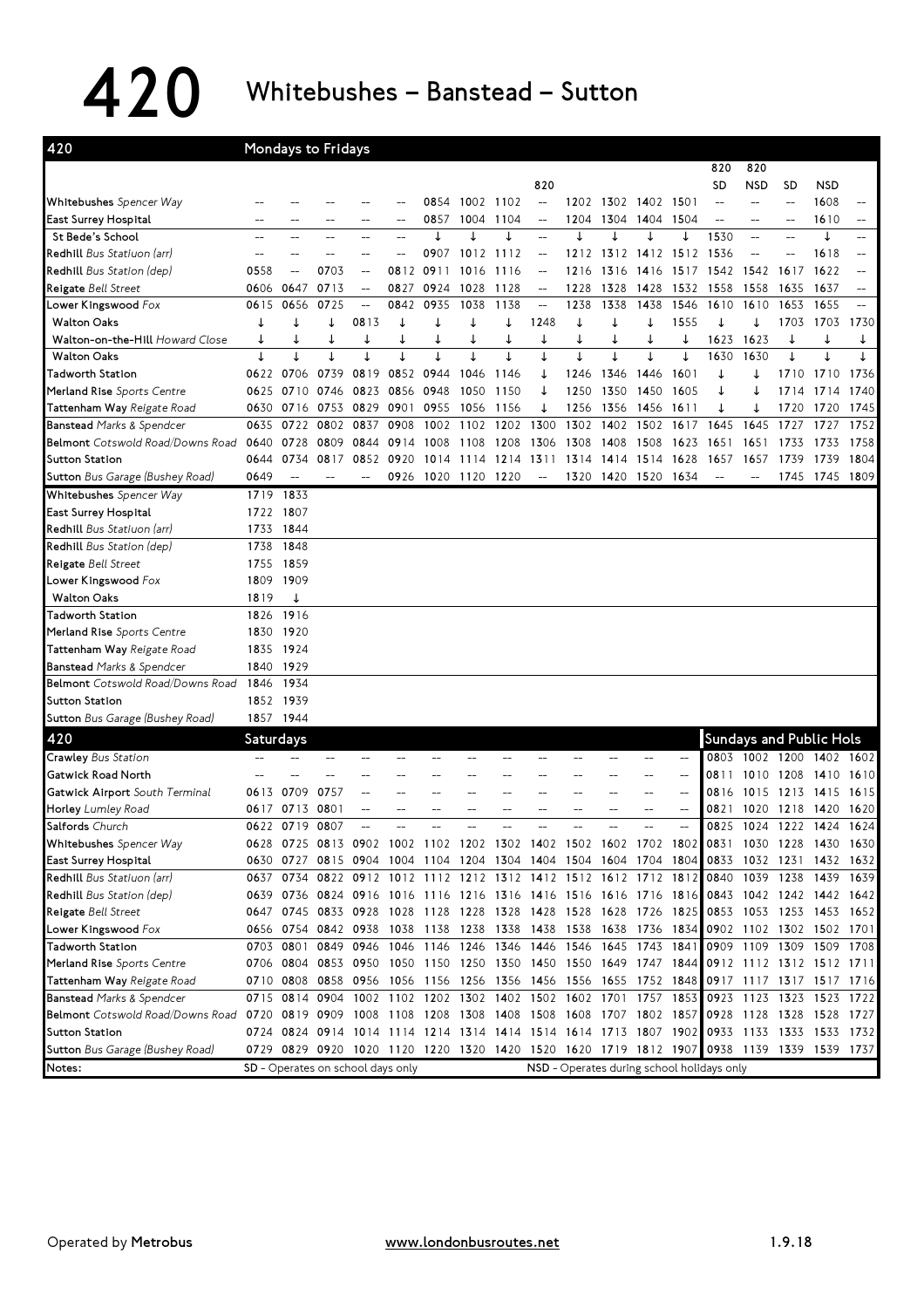$420$  Whitebushes – Banstead – Sutton

| 420                                                                                               |                  | <b>Mondays to Fridays</b> |                                   |                          |      |           |                                                                                           |                                            |                          |                     |                |                |                          |                          |                        |                |                                |      |
|---------------------------------------------------------------------------------------------------|------------------|---------------------------|-----------------------------------|--------------------------|------|-----------|-------------------------------------------------------------------------------------------|--------------------------------------------|--------------------------|---------------------|----------------|----------------|--------------------------|--------------------------|------------------------|----------------|--------------------------------|------|
|                                                                                                   |                  |                           |                                   |                          |      |           |                                                                                           |                                            |                          |                     |                |                |                          | 820                      | 820                    |                |                                |      |
|                                                                                                   |                  |                           |                                   |                          |      |           |                                                                                           |                                            | 820                      |                     |                |                |                          | SD                       | <b>NSD</b>             | <b>SD</b>      | <b>NSD</b>                     |      |
| Whitebushes Spencer Way                                                                           |                  |                           |                                   |                          |      | 0854      | 1002 1102                                                                                 |                                            | $\overline{\phantom{a}}$ |                     | 1202 1302 1402 |                | 1501                     | $-$                      |                        |                | 1608                           |      |
| East Surrey Hospital                                                                              |                  |                           |                                   |                          | --   | 0857      | 1004                                                                                      | 1104                                       | $\overline{\phantom{m}}$ | 1204                | 1304           | 1404           | 1504                     | $\overline{\phantom{a}}$ | $\overline{a}$         | $\overline{a}$ | 1610                           | --   |
| St Bede's School                                                                                  |                  |                           |                                   |                          |      | ↓         | ↓                                                                                         | ↓                                          | $\qquad \qquad -$        |                     |                | ↓              |                          | 1530                     | --                     |                | ↓                              | --   |
| Redhill Bus Statiuon (arr)                                                                        |                  |                           |                                   |                          |      | 0907      | 1012                                                                                      | 1112                                       |                          | 1212                | 1312           | 1412           | 1512                     | 1536                     |                        |                | 1618                           |      |
| Redhill Bus Station (dep)                                                                         | 0558             |                           | 0703                              |                          | 0812 | 0911      | 1016                                                                                      | 1116                                       |                          | 1216                | 1316           | 1416           | 1517                     | 1542                     | 1542                   | 1617           | 1622                           |      |
| Reigate Bell Street                                                                               | 0606             | 0647                      | 0713                              | $\overline{\phantom{a}}$ | 0827 | 0924      | 1028                                                                                      | 1128                                       | $\overline{\phantom{m}}$ | 1228                | 1328           | 1428           | 1532                     | 1558                     | 1558                   | 1635           | 1637                           | --   |
| Lower Kingswood Fox                                                                               | 0615             | 0656                      | 0725                              | $\overline{\phantom{m}}$ | 0842 | 0935      | 1038                                                                                      | 1138                                       | $\overline{\phantom{m}}$ | 1238                | 1338           | 1438           | 1546                     | 1610                     | 1610                   | 1653           | 1655                           | $-$  |
| <b>Walton Oaks</b>                                                                                | ↓                | ↓                         | ↓                                 | 0813                     | ↓    | ↓         | ↓                                                                                         | ↓                                          | 1248                     | ↓                   | ↓              | ↓              | 1555                     | ↓                        | ↓                      | 1703           | 1703                           | 1730 |
| <b>Walton-on-the-Hill</b> Howard Close                                                            | ↓                | ↓                         |                                   | ↓                        | ↓    |           | ↓                                                                                         | ↓                                          | ↓                        | ↓                   | ↓              | ↓              | ↓                        | 1623                     | 1623                   |                | ↓                              | ↓    |
| <b>Walton Oaks</b>                                                                                |                  |                           |                                   |                          |      |           |                                                                                           |                                            |                          |                     |                |                |                          | 1630                     | 1630                   |                |                                |      |
| <b>Tadworth Station</b>                                                                           | 0622             | 0706                      | 0739                              | 0819                     | 0852 | 0944      | 1046                                                                                      | 1146                                       | ↓                        | 1246                | 1346           | 1446           | 1601                     | ↓                        |                        | 1710           | 1710                           | 1736 |
| Merland Rise Sports Centre                                                                        | 0625             | 0710                      | 0746                              | 0823                     | 0856 | 0948      | 1050                                                                                      | 1150                                       |                          | 1250                | 1350           | 1450           | 1605                     | ↓                        |                        | 1714           | 1714                           | 1740 |
| Tattenham Way Reigate Road                                                                        | 0630             | 0716                      |                                   | 0753 0829                | 0901 | 0955      | 1056                                                                                      | 1156                                       | ↓                        | 1256                | 1356           | 1456           | 1611                     | ↓                        | ↓                      | 1720           | 1720                           | 1745 |
| Banstead Marks & Spendcer                                                                         | 0635             | 0722                      | 0802                              | 0837                     | 0908 | 1002      | 1102                                                                                      | 1202                                       | 1300                     | 1302                | 1402           | 1502           | 1617                     | 1645                     | 1645                   | 1727           | 1727                           | 1752 |
| Belmont Cotswold Road/Downs Road                                                                  | 0640             | 0728                      | 0809                              | 0844                     | 0914 | 1008      | 1108                                                                                      | 1208                                       | 1306                     | 1308                | 1408           | 1508           | 1623                     | 1651                     | 1651                   | 1733           | 1733                           | 1758 |
| <b>Sutton Station</b>                                                                             | 0644             | 0734                      | 0817                              | 0852                     | 0920 | 1014      | 1114                                                                                      | 1214                                       | 1311                     | 1314                | 1414           | 1514           | 1628                     | 1657                     | 1657                   | 1739           | 1739                           | 1804 |
| Sutton Bus Garage (Bushey Road)                                                                   | 0649             |                           |                                   |                          | 0926 | 1020 1120 |                                                                                           | 1220                                       | $\overline{\phantom{a}}$ | 1320                | 1420           | 1520 1634      |                          |                          |                        | 1745           | 1745 1809                      |      |
| Whitebushes Spencer Way                                                                           | 1719             | 1833                      |                                   |                          |      |           |                                                                                           |                                            |                          |                     |                |                |                          |                          |                        |                |                                |      |
| East Surrey Hospital                                                                              | 1722             | 1807                      |                                   |                          |      |           |                                                                                           |                                            |                          |                     |                |                |                          |                          |                        |                |                                |      |
| Redhill Bus Statiuon (arr)                                                                        | 1733             | 1844                      |                                   |                          |      |           |                                                                                           |                                            |                          |                     |                |                |                          |                          |                        |                |                                |      |
| Redhill Bus Station (dep)                                                                         | 1738             | 1848                      |                                   |                          |      |           |                                                                                           |                                            |                          |                     |                |                |                          |                          |                        |                |                                |      |
| Reigate Bell Street                                                                               | 1755             | 1859                      |                                   |                          |      |           |                                                                                           |                                            |                          |                     |                |                |                          |                          |                        |                |                                |      |
| Lower Kingswood Fox                                                                               | 1809             | 1909                      |                                   |                          |      |           |                                                                                           |                                            |                          |                     |                |                |                          |                          |                        |                |                                |      |
| <b>Walton Oaks</b>                                                                                | 1819             | ↓                         |                                   |                          |      |           |                                                                                           |                                            |                          |                     |                |                |                          |                          |                        |                |                                |      |
| Tadworth Station                                                                                  | 1826             | 1916                      |                                   |                          |      |           |                                                                                           |                                            |                          |                     |                |                |                          |                          |                        |                |                                |      |
| Merland Rise Sports Centre                                                                        | 1830             | 1920                      |                                   |                          |      |           |                                                                                           |                                            |                          |                     |                |                |                          |                          |                        |                |                                |      |
| Tattenham Way Reigate Road                                                                        | 1835             | 1924                      |                                   |                          |      |           |                                                                                           |                                            |                          |                     |                |                |                          |                          |                        |                |                                |      |
| <b>Banstead Marks &amp; Spendcer</b>                                                              |                  | 1840 1929                 |                                   |                          |      |           |                                                                                           |                                            |                          |                     |                |                |                          |                          |                        |                |                                |      |
| Belmont Cotswold Road/Downs Road                                                                  | 1846             | 1934                      |                                   |                          |      |           |                                                                                           |                                            |                          |                     |                |                |                          |                          |                        |                |                                |      |
| <b>Sutton Station</b>                                                                             |                  | 1852 1939                 |                                   |                          |      |           |                                                                                           |                                            |                          |                     |                |                |                          |                          |                        |                |                                |      |
| Sutton Bus Garage (Bushey Road)                                                                   |                  | 1857 1944                 |                                   |                          |      |           |                                                                                           |                                            |                          |                     |                |                |                          |                          |                        |                |                                |      |
| 420                                                                                               | <b>Saturdays</b> |                           |                                   |                          |      |           |                                                                                           |                                            |                          |                     |                |                |                          |                          |                        |                | <b>Sundays and Public Hols</b> |      |
| <b>Crawley Bus Station</b>                                                                        |                  |                           |                                   |                          |      |           |                                                                                           |                                            |                          |                     |                |                |                          | 0803                     |                        |                | 1002 1200 1402 1602            |      |
|                                                                                                   |                  |                           |                                   |                          |      |           |                                                                                           |                                            |                          |                     |                |                | $\overline{\phantom{a}}$ |                          |                        |                |                                |      |
| <b>Gatwick Road North</b>                                                                         |                  |                           |                                   |                          |      |           |                                                                                           |                                            |                          |                     |                |                |                          | 0811                     | 1010 1208<br>1015 1213 |                | 1410                           | 1610 |
| Gatwick Airport South Terminal                                                                    | 0613             | 0709                      | 0757                              |                          |      |           |                                                                                           |                                            |                          |                     |                |                | $-$                      | 0816                     |                        |                | 1415                           | 1615 |
| Horley Lumley Road<br>Salfords Church                                                             | 0617             | 0713                      | 0801                              |                          |      |           | --                                                                                        |                                            |                          |                     |                | --             | $-$                      | 0821                     | 1020 1218              |                | 1420                           | 1620 |
|                                                                                                   |                  | 0622 0719                 | 0807                              |                          |      |           |                                                                                           |                                            |                          |                     |                |                |                          | 0825                     | 1024 1222              |                | 1424                           | 1624 |
| Whitebushes Spencer Way                                                                           |                  |                           |                                   |                          |      |           | 0628 0725 0813 0902 1002 1102 1202 1302 1402 1502 1602 1702 1802 0831 1030 1228 1430 1630 |                                            |                          |                     |                |                |                          |                          |                        |                |                                |      |
| East Surrey Hospital                                                                              |                  |                           |                                   |                          |      |           | 0630 0727 0815 0904 1004 1104 1204 1304 1404 1504 1604 1704 1804                          |                                            |                          |                     |                |                |                          |                          |                        |                | 0833 1032 1231 1432 1632       |      |
| Redhill Bus Statiuon (arr)                                                                        |                  |                           |                                   |                          |      |           | 0637 0734 0822 0912 1012 1112 1212 1312 1412 1512 1612 1712 1812                          |                                            |                          |                     |                |                |                          | 0840                     | 1039 1238              |                | 1439 1639                      |      |
| Redhill Bus Station (dep)                                                                         |                  |                           |                                   |                          |      |           | 0639 0736 0824 0916 1016 1116 1216 1316 1416 1516 1616 1716 1816                          |                                            |                          |                     |                |                |                          |                          |                        |                | 0843 1042 1242 1442 1642       |      |
| Reigate Bell Street                                                                               |                  |                           |                                   |                          |      |           | 0647 0745 0833 0928 1028 1128 1228 1328 1428 1528 1628 1726 1825                          |                                            |                          |                     |                |                |                          |                          |                        |                | 0853 1053 1253 1453 1652       |      |
| Lower Kingswood Fox                                                                               |                  | 0656 0754 0842 0938       |                                   |                          |      |           | 1038 1138 1238 1338 1438                                                                  |                                            |                          | 1538 1638 1736 1834 |                |                |                          |                          |                        |                | 0902 1102 1302 1502 1701       |      |
| Tadworth Station                                                                                  |                  | 0703 0801                 | 0849 0946                         |                          |      |           | 1046 1146 1246 1346 1446                                                                  |                                            |                          | 1546                |                | 1645 1743 1841 |                          |                          |                        |                | 0909 1109 1309 1509 1708       |      |
| Merland Rise Sports Centre                                                                        |                  |                           |                                   |                          |      |           | 0706 0804 0853 0950 1050 1150 1250 1350 1450 1550 1649 1747 1844                          |                                            |                          |                     |                |                |                          |                          |                        |                | 0912 1112 1312 1512 1711       |      |
| Tattenham Way Reigate Road                                                                        |                  |                           |                                   |                          |      |           | 0710 0808 0858 0956 1056 1156 1256 1356 1456 1556 1655 1752 1848                          |                                            |                          |                     |                |                |                          |                          |                        |                | 0917 1117 1317 1517 1716       |      |
| <b>Banstead Marks &amp; Spendcer</b>                                                              |                  |                           |                                   |                          |      |           | 0715 0814 0904 1002 1102 1202 1302 1402 1502 1602 1701                                    |                                            |                          |                     |                | 1757 1853      |                          |                          |                        |                | 0923 1123 1323 1523 1722       |      |
| Belmont Cotswold Road/Downs Road 0720 0819 0909 1008 1108 1208 1308 1408 1508 1608 1707 1802 1857 |                  |                           |                                   |                          |      |           |                                                                                           |                                            |                          |                     |                |                |                          |                          |                        |                | 0928 1128 1328 1528 1727       |      |
| Sutton Station                                                                                    |                  |                           |                                   |                          |      |           | 0724 0824 0914 1014 1114 1214 1314 1414 1514 1614 1713 1807 1902                          |                                            |                          |                     |                |                |                          |                          |                        |                | 0933 1133 1333 1533 1732       |      |
| <b>Sutton</b> Bus Garage (Bushey Road)                                                            |                  |                           |                                   |                          |      |           | 0729 0829 0920 1020 1120 1220 1320 1420 1520 1620 1719 1812 1907                          |                                            |                          |                     |                |                |                          |                          |                        |                | 0938 1139 1339 1539 1737       |      |
| Notes:                                                                                            |                  |                           | SD - Operates on school days only |                          |      |           |                                                                                           | NSD - Operates during school holidays only |                          |                     |                |                |                          |                          |                        |                |                                |      |